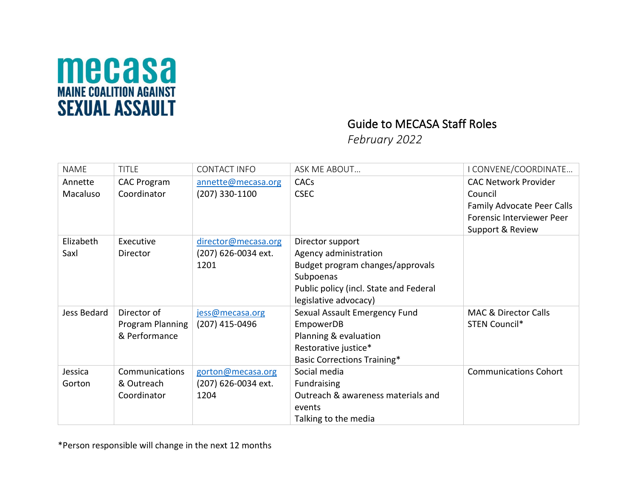

## Guide to MECASA Staff Roles

*February 2022*

| <b>NAME</b>         | <b>TITLE</b>                                     | <b>CONTACT INFO</b>                                | ASK ME ABOUT                                                                                                                                                  | I CONVENE/COORDINATE                                                                                                         |
|---------------------|--------------------------------------------------|----------------------------------------------------|---------------------------------------------------------------------------------------------------------------------------------------------------------------|------------------------------------------------------------------------------------------------------------------------------|
| Annette<br>Macaluso | <b>CAC Program</b><br>Coordinator                | annette@mecasa.org<br>$(207)$ 330-1100             | CACs<br><b>CSEC</b>                                                                                                                                           | <b>CAC Network Provider</b><br>Council<br>Family Advocate Peer Calls<br><b>Forensic Interviewer Peer</b><br>Support & Review |
| Elizabeth<br>Saxl   | Executive<br>Director                            | director@mecasa.org<br>(207) 626-0034 ext.<br>1201 | Director support<br>Agency administration<br>Budget program changes/approvals<br>Subpoenas<br>Public policy (incl. State and Federal<br>legislative advocacy) |                                                                                                                              |
| Jess Bedard         | Director of<br>Program Planning<br>& Performance | jess@mecasa.org<br>$(207)$ 415-0496                | Sexual Assault Emergency Fund<br>EmpowerDB<br>Planning & evaluation<br>Restorative justice*<br><b>Basic Corrections Training*</b>                             | <b>MAC &amp; Director Calls</b><br>STEN Council*                                                                             |
| Jessica<br>Gorton   | Communications<br>& Outreach<br>Coordinator      | gorton@mecasa.org<br>(207) 626-0034 ext.<br>1204   | Social media<br>Fundraising<br>Outreach & awareness materials and<br>events<br>Talking to the media                                                           | <b>Communications Cohort</b>                                                                                                 |

\*Person responsible will change in the next 12 months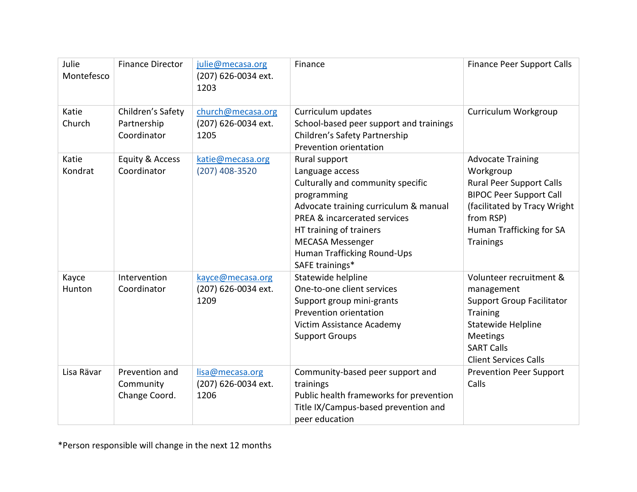| Julie<br>Montefesco | <b>Finance Director</b>                         | julie@mecasa.org<br>(207) 626-0034 ext.<br>1203  | Finance                                                                                                                                                                                                                                                                          | <b>Finance Peer Support Calls</b>                                                                                                                                                                       |
|---------------------|-------------------------------------------------|--------------------------------------------------|----------------------------------------------------------------------------------------------------------------------------------------------------------------------------------------------------------------------------------------------------------------------------------|---------------------------------------------------------------------------------------------------------------------------------------------------------------------------------------------------------|
| Katie<br>Church     | Children's Safety<br>Partnership<br>Coordinator | church@mecasa.org<br>(207) 626-0034 ext.<br>1205 | Curriculum updates<br>School-based peer support and trainings<br>Children's Safety Partnership<br>Prevention orientation                                                                                                                                                         | Curriculum Workgroup                                                                                                                                                                                    |
| Katie<br>Kondrat    | Equity & Access<br>Coordinator                  | katie@mecasa.org<br>(207) 408-3520               | Rural support<br>Language access<br>Culturally and community specific<br>programming<br>Advocate training curriculum & manual<br><b>PREA &amp; incarcerated services</b><br>HT training of trainers<br><b>MECASA Messenger</b><br>Human Trafficking Round-Ups<br>SAFE trainings* | <b>Advocate Training</b><br>Workgroup<br><b>Rural Peer Support Calls</b><br><b>BIPOC Peer Support Call</b><br>(facilitated by Tracy Wright<br>from RSP)<br>Human Trafficking for SA<br><b>Trainings</b> |
| Kayce<br>Hunton     | Intervention<br>Coordinator                     | kayce@mecasa.org<br>(207) 626-0034 ext.<br>1209  | Statewide helpline<br>One-to-one client services<br>Support group mini-grants<br>Prevention orientation<br>Victim Assistance Academy<br><b>Support Groups</b>                                                                                                                    | Volunteer recruitment &<br>management<br><b>Support Group Facilitator</b><br><b>Training</b><br>Statewide Helpline<br><b>Meetings</b><br><b>SART Calls</b><br><b>Client Services Calls</b>              |
| Lisa Rävar          | Prevention and<br>Community<br>Change Coord.    | lisa@mecasa.org<br>(207) 626-0034 ext.<br>1206   | Community-based peer support and<br>trainings<br>Public health frameworks for prevention<br>Title IX/Campus-based prevention and<br>peer education                                                                                                                               | <b>Prevention Peer Support</b><br>Calls                                                                                                                                                                 |

\*Person responsible will change in the next 12 months